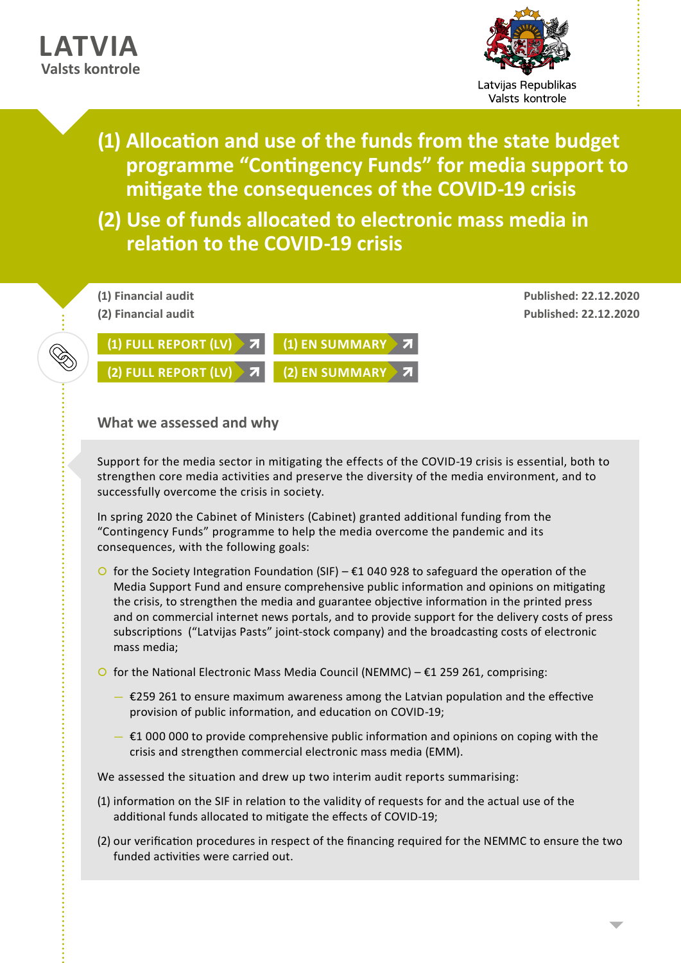## **LATVIA Valsts kontrole**



- **(1) Allocation and use of the funds from the state budget programme "Contingency Funds" for media support to mitigate the consequences of the COVID-19 crisis**
- **(2) Use of funds allocated to electronic mass media in relation to the COVID-19 crisis**



## **What we assessed and why**

Support for the media sector in mitigating the effects of the COVID-19 crisis is essential, both to strengthen core media activities and preserve the diversity of the media environment, and to successfully overcome the crisis in society.

In spring 2020 the Cabinet of Ministers (Cabinet) granted additional funding from the "Contingency Funds" programme to help the media overcome the pandemic and its consequences, with the following goals:

- O for the Society Integration Foundation (SIF)  $\epsilon$ 1 040 928 to safeguard the operation of the Media Support Fund and ensure comprehensive public information and opinions on mitigating the crisis, to strengthen the media and guarantee objective information in the printed press and on commercial internet news portals, and to provide support for the delivery costs of press subscriptions ("Latvijas Pasts" joint-stock company) and the broadcasting costs of electronic mass media;
- O for the National Electronic Mass Media Council (NEMMC)  $\epsilon$ 1 259 261, comprising:
	- $−$  €259 261 to ensure maximum awareness among the Latvian population and the effective provision of public information, and education on COVID-19;
	- $\epsilon$ 1 000 000 to provide comprehensive public information and opinions on coping with the crisis and strengthen commercial electronic mass media (EMM).

We assessed the situation and drew up two interim audit reports summarising:

- (1) information on the SIF in relation to the validity of requests for and the actual use of the additional funds allocated to mitigate the effects of COVID-19;
- (2) our verification procedures in respect of the financing required for the NEMMC to ensure the two funded activities were carried out.